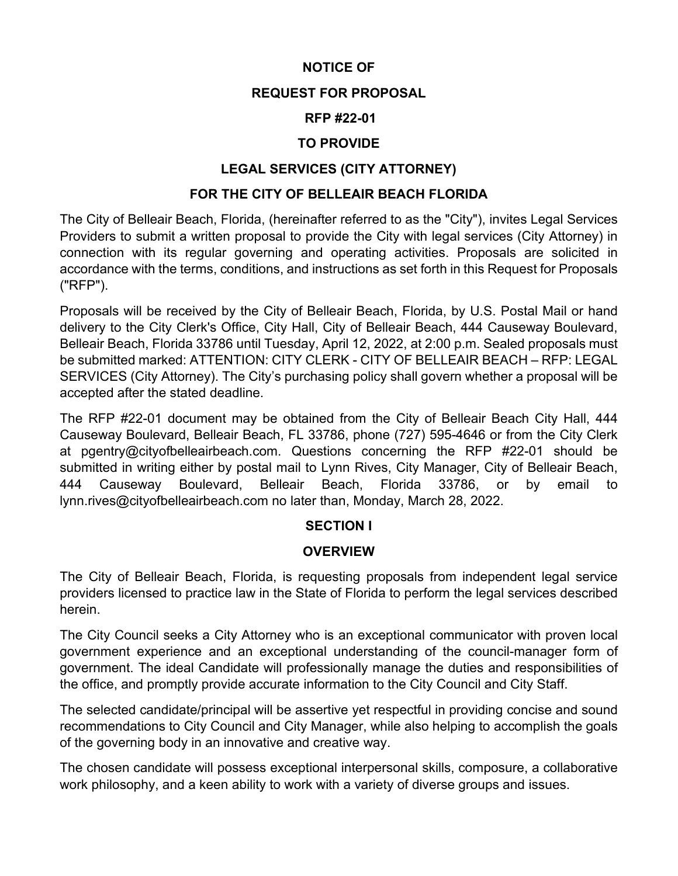## **NOTICE OF**

#### **REQUEST FOR PROPOSAL**

### **RFP #22-01**

### **TO PROVIDE**

## **LEGAL SERVICES (CITY ATTORNEY)**

#### **FOR THE CITY OF BELLEAIR BEACH FLORIDA**

The City of Belleair Beach, Florida, (hereinafter referred to as the "City"), invites Legal Services Providers to submit a written proposal to provide the City with legal services (City Attorney) in connection with its regular governing and operating activities. Proposals are solicited in accordance with the terms, conditions, and instructions as set forth in this Request for Proposals ("RFP").

Proposals will be received by the City of Belleair Beach, Florida, by U.S. Postal Mail or hand delivery to the City Clerk's Office, City Hall, City of Belleair Beach, 444 Causeway Boulevard, Belleair Beach, Florida 33786 until Tuesday, April 12, 2022, at 2:00 p.m. Sealed proposals must be submitted marked: ATTENTION: CITY CLERK - CITY OF BELLEAIR BEACH – RFP: LEGAL SERVICES (City Attorney). The City's purchasing policy shall govern whether a proposal will be accepted after the stated deadline.

The RFP #22-01 document may be obtained from the City of Belleair Beach City Hall, 444 Causeway Boulevard, Belleair Beach, FL 33786, phone (727) 595-4646 or from the City Clerk at pgentry@cityofbelleairbeach.com. Questions concerning the RFP #22-01 should be submitted in writing either by postal mail to Lynn Rives, City Manager, City of Belleair Beach, 444 Causeway Boulevard, Belleair Beach, Florida 33786, or by email to lynn.rives@cityofbelleairbeach.com no later than, Monday, March 28, 2022.

#### **SECTION I**

#### **OVERVIEW**

The City of Belleair Beach, Florida, is requesting proposals from independent legal service providers licensed to practice law in the State of Florida to perform the legal services described herein.

The City Council seeks a City Attorney who is an exceptional communicator with proven local government experience and an exceptional understanding of the council-manager form of government. The ideal Candidate will professionally manage the duties and responsibilities of the office, and promptly provide accurate information to the City Council and City Staff.

The selected candidate/principal will be assertive yet respectful in providing concise and sound recommendations to City Council and City Manager, while also helping to accomplish the goals of the governing body in an innovative and creative way.

The chosen candidate will possess exceptional interpersonal skills, composure, a collaborative work philosophy, and a keen ability to work with a variety of diverse groups and issues.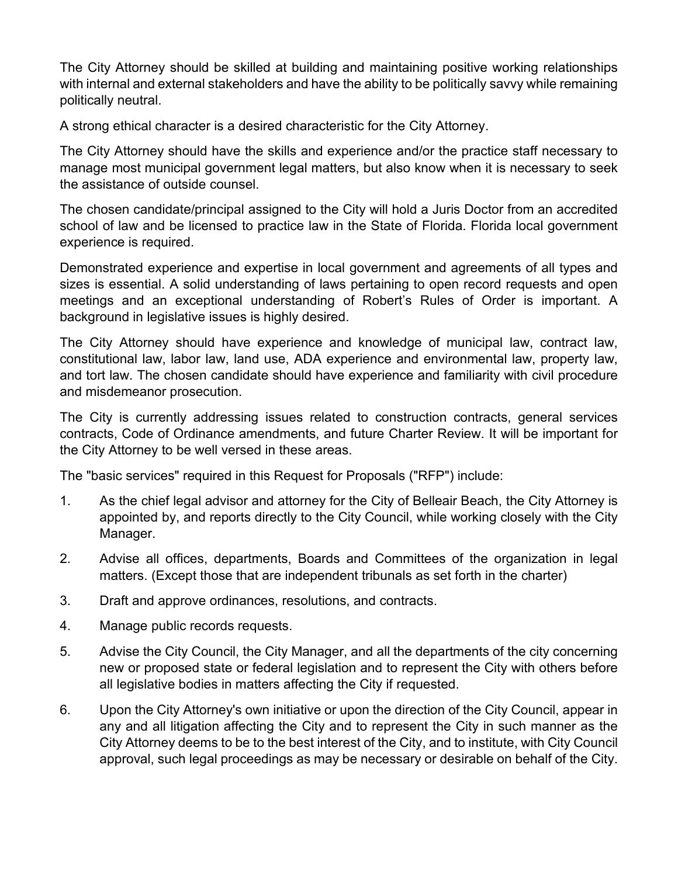The City Attorney should be skilled at building and maintaining positive working relationships with internal and external stakeholders and have the ability to be politically savvy while remaining politically neutral.

A strong ethical character is a desired characteristic for the City Attorney.

The City Attorney should have the skills and experience and/or the practice staff necessary to manage most municipal government legal matters, but also know when it is necessary to seek the assistance of outside counsel.

The chosen candidate/principal assigned to the City will hold a Juris Doctor from an accredited school of law and be licensed to practice law in the State of Florida. Florida local government experience is required.

Demonstrated experience and expertise in local government and agreements of all types and sizes is essential. A solid understanding of laws pertaining to open record requests and open meetings and an exceptional understanding of Robert's Rules of Order is important. A background in legislative issues is highly desired.

The City Attorney should have experience and knowledge of municipal law, contract law, constitutional law, labor law, land use, ADA experience and environmental law, property law, and tort law. The chosen candidate should have experience and familiarity with civil procedure and misdemeanor prosecution.

The City is currently addressing issues related to construction contracts, general services contracts, Code of Ordinance amendments, and future Charter Review. It will be important for the City Attorney to be well versed in these areas.

The "basic services" required in this Request for Proposals ("RFP") include:

- 1. As the chief legal advisor and attorney for the City of Belleair Beach, the City Attorney is appointed by, and reports directly to the City Council, while working closely with the City Manager.
- 2. Advise all offices, departments, Boards and Committees of the organization in legal matters. (Except those that are independent tribunals as set forth in the charter)
- 3. Draft and approve ordinances, resolutions, and contracts.
- 4. Manage public records requests.
- 5. Advise the City Council, the City Manager, and all the departments of the city concerning new or proposed state or federal legislation and to represent the City with others before all legislative bodies in matters affecting the City if requested.
- 6. Upon the City Attorney's own initiative or upon the direction of the City Council, appear in any and all litigation affecting the City and to represent the City in such manner as the City Attorney deems to be to the best interest of the City, and to institute, with City Council approval, such legal proceedings as may be necessary or desirable on behalf of the City.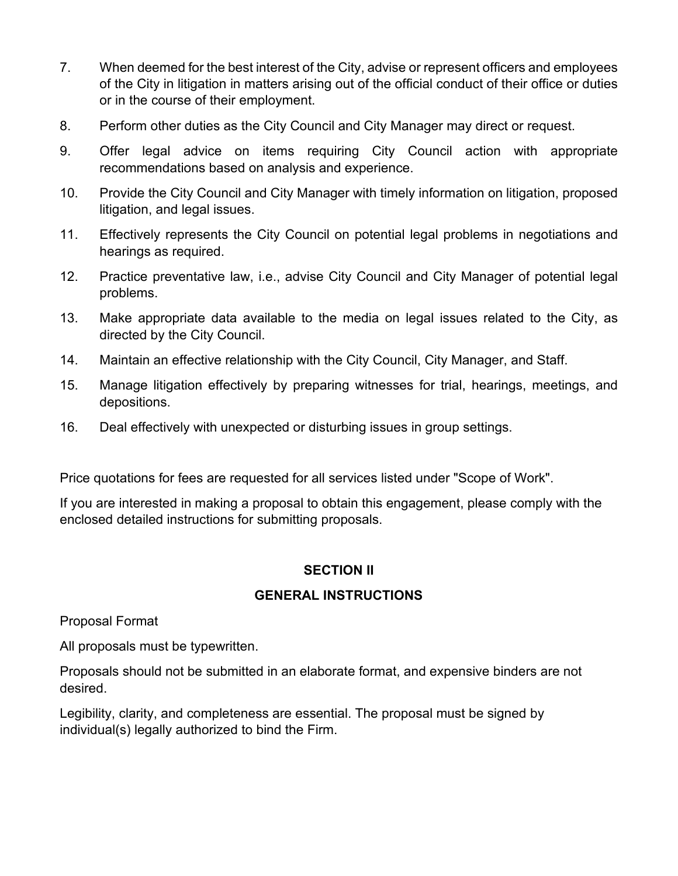- 7. When deemed for the best interest of the City, advise or represent officers and employees of the City in litigation in matters arising out of the official conduct of their office or duties or in the course of their employment.
- 8. Perform other duties as the City Council and City Manager may direct or request.
- 9. Offer legal advice on items requiring City Council action with appropriate recommendations based on analysis and experience.
- 10. Provide the City Council and City Manager with timely information on litigation, proposed litigation, and legal issues.
- 11. Effectively represents the City Council on potential legal problems in negotiations and hearings as required.
- 12. Practice preventative law, i.e., advise City Council and City Manager of potential legal problems.
- 13. Make appropriate data available to the media on legal issues related to the City, as directed by the City Council.
- 14. Maintain an effective relationship with the City Council, City Manager, and Staff.
- 15. Manage litigation effectively by preparing witnesses for trial, hearings, meetings, and depositions.
- 16. Deal effectively with unexpected or disturbing issues in group settings.

Price quotations for fees are requested for all services listed under "Scope of Work".

If you are interested in making a proposal to obtain this engagement, please comply with the enclosed detailed instructions for submitting proposals.

## **SECTION II**

## **GENERAL INSTRUCTIONS**

Proposal Format

All proposals must be typewritten.

Proposals should not be submitted in an elaborate format, and expensive binders are not desired.

Legibility, clarity, and completeness are essential. The proposal must be signed by individual(s) legally authorized to bind the Firm.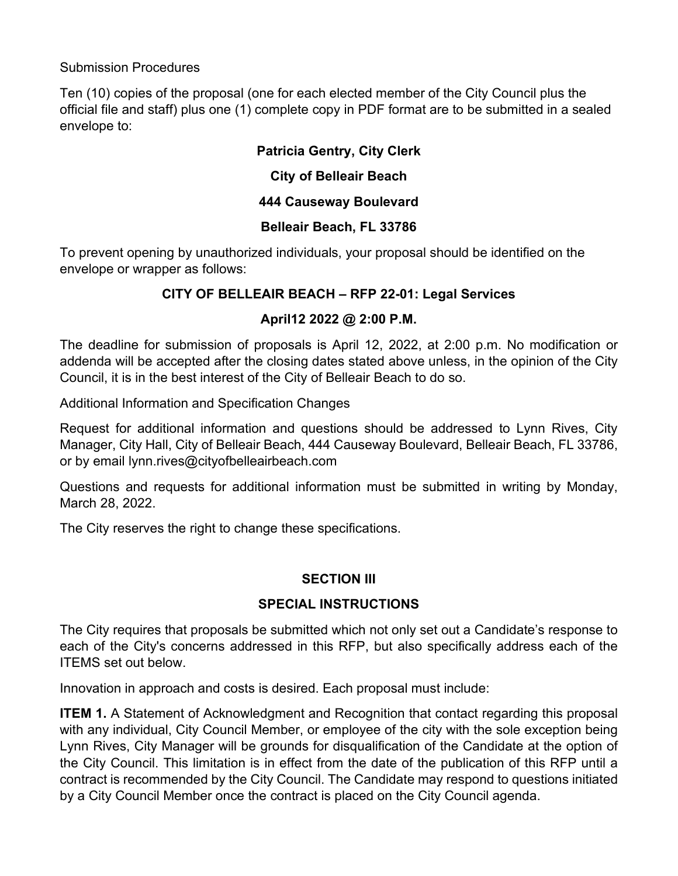### Submission Procedures

Ten (10) copies of the proposal (one for each elected member of the City Council plus the official file and staff) plus one (1) complete copy in PDF format are to be submitted in a sealed envelope to:

## **Patricia Gentry, City Clerk**

### **City of Belleair Beach**

## **444 Causeway Boulevard**

### **Belleair Beach, FL 33786**

To prevent opening by unauthorized individuals, your proposal should be identified on the envelope or wrapper as follows:

## **CITY OF BELLEAIR BEACH – RFP 22-01: Legal Services**

### **April12 2022 @ 2:00 P.M.**

The deadline for submission of proposals is April 12, 2022, at 2:00 p.m. No modification or addenda will be accepted after the closing dates stated above unless, in the opinion of the City Council, it is in the best interest of the City of Belleair Beach to do so.

Additional Information and Specification Changes

Request for additional information and questions should be addressed to Lynn Rives, City Manager, City Hall, City of Belleair Beach, 444 Causeway Boulevard, Belleair Beach, FL 33786, or by email lynn.rives@cityofbelleairbeach.com

Questions and requests for additional information must be submitted in writing by Monday, March 28, 2022.

The City reserves the right to change these specifications.

## **SECTION III**

## **SPECIAL INSTRUCTIONS**

The City requires that proposals be submitted which not only set out a Candidate's response to each of the City's concerns addressed in this RFP, but also specifically address each of the ITEMS set out below.

Innovation in approach and costs is desired. Each proposal must include:

**ITEM 1.** A Statement of Acknowledgment and Recognition that contact regarding this proposal with any individual, City Council Member, or employee of the city with the sole exception being Lynn Rives, City Manager will be grounds for disqualification of the Candidate at the option of the City Council. This limitation is in effect from the date of the publication of this RFP until a contract is recommended by the City Council. The Candidate may respond to questions initiated by a City Council Member once the contract is placed on the City Council agenda.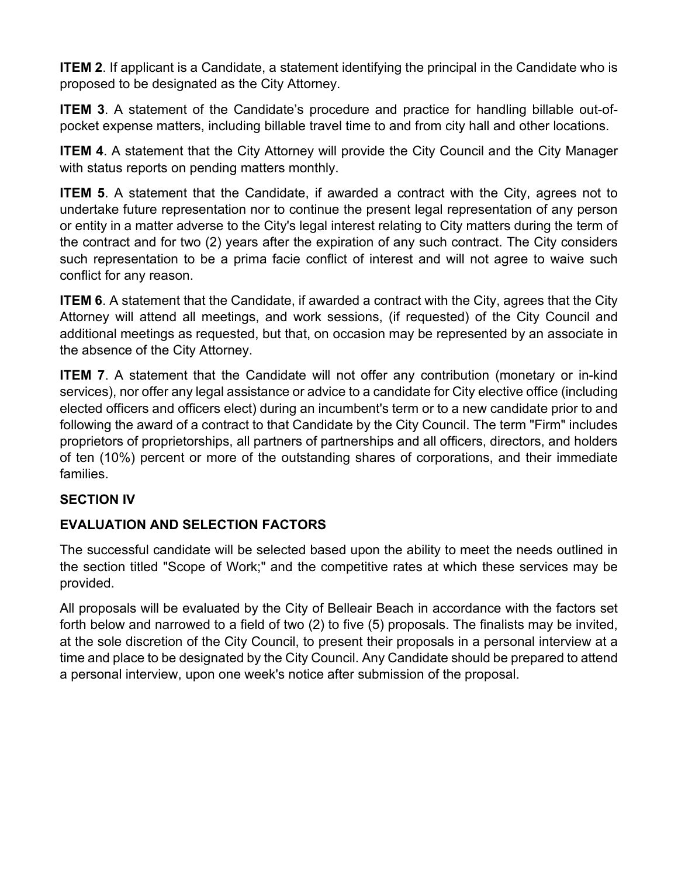**ITEM 2**. If applicant is a Candidate, a statement identifying the principal in the Candidate who is proposed to be designated as the City Attorney.

**ITEM 3**. A statement of the Candidate's procedure and practice for handling billable out-ofpocket expense matters, including billable travel time to and from city hall and other locations.

**ITEM 4.** A statement that the City Attorney will provide the City Council and the City Manager with status reports on pending matters monthly.

**ITEM 5.** A statement that the Candidate, if awarded a contract with the City, agrees not to undertake future representation nor to continue the present legal representation of any person or entity in a matter adverse to the City's legal interest relating to City matters during the term of the contract and for two (2) years after the expiration of any such contract. The City considers such representation to be a prima facie conflict of interest and will not agree to waive such conflict for any reason.

**ITEM 6**. A statement that the Candidate, if awarded a contract with the City, agrees that the City Attorney will attend all meetings, and work sessions, (if requested) of the City Council and additional meetings as requested, but that, on occasion may be represented by an associate in the absence of the City Attorney.

**ITEM 7.** A statement that the Candidate will not offer any contribution (monetary or in-kind services), nor offer any legal assistance or advice to a candidate for City elective office (including elected officers and officers elect) during an incumbent's term or to a new candidate prior to and following the award of a contract to that Candidate by the City Council. The term "Firm" includes proprietors of proprietorships, all partners of partnerships and all officers, directors, and holders of ten (10%) percent or more of the outstanding shares of corporations, and their immediate families.

## **SECTION IV**

# **EVALUATION AND SELECTION FACTORS**

The successful candidate will be selected based upon the ability to meet the needs outlined in the section titled "Scope of Work;" and the competitive rates at which these services may be provided.

All proposals will be evaluated by the City of Belleair Beach in accordance with the factors set forth below and narrowed to a field of two (2) to five (5) proposals. The finalists may be invited, at the sole discretion of the City Council, to present their proposals in a personal interview at a time and place to be designated by the City Council. Any Candidate should be prepared to attend a personal interview, upon one week's notice after submission of the proposal.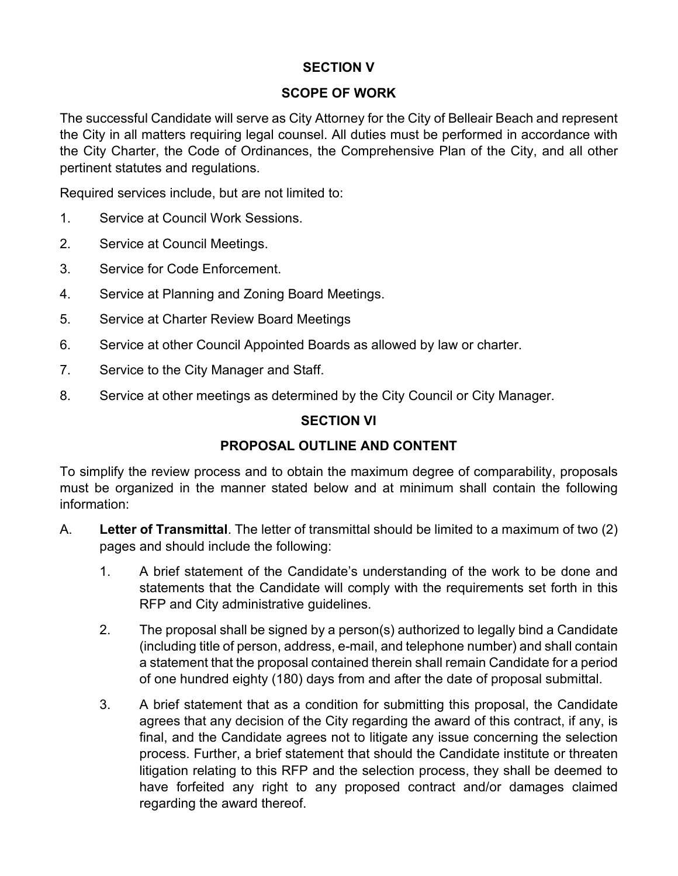## **SECTION V**

### **SCOPE OF WORK**

The successful Candidate will serve as City Attorney for the City of Belleair Beach and represent the City in all matters requiring legal counsel. All duties must be performed in accordance with the City Charter, the Code of Ordinances, the Comprehensive Plan of the City, and all other pertinent statutes and regulations.

Required services include, but are not limited to:

- 1. Service at Council Work Sessions.
- 2. Service at Council Meetings.
- 3. Service for Code Enforcement.
- 4. Service at Planning and Zoning Board Meetings.
- 5. Service at Charter Review Board Meetings
- 6. Service at other Council Appointed Boards as allowed by law or charter.
- 7. Service to the City Manager and Staff.
- 8. Service at other meetings as determined by the City Council or City Manager.

### **SECTION VI**

## **PROPOSAL OUTLINE AND CONTENT**

To simplify the review process and to obtain the maximum degree of comparability, proposals must be organized in the manner stated below and at minimum shall contain the following information:

- A. **Letter of Transmittal**. The letter of transmittal should be limited to a maximum of two (2) pages and should include the following:
	- 1. A brief statement of the Candidate's understanding of the work to be done and statements that the Candidate will comply with the requirements set forth in this RFP and City administrative guidelines.
	- 2. The proposal shall be signed by a person(s) authorized to legally bind a Candidate (including title of person, address, e-mail, and telephone number) and shall contain a statement that the proposal contained therein shall remain Candidate for a period of one hundred eighty (180) days from and after the date of proposal submittal.
	- 3. A brief statement that as a condition for submitting this proposal, the Candidate agrees that any decision of the City regarding the award of this contract, if any, is final, and the Candidate agrees not to litigate any issue concerning the selection process. Further, a brief statement that should the Candidate institute or threaten litigation relating to this RFP and the selection process, they shall be deemed to have forfeited any right to any proposed contract and/or damages claimed regarding the award thereof.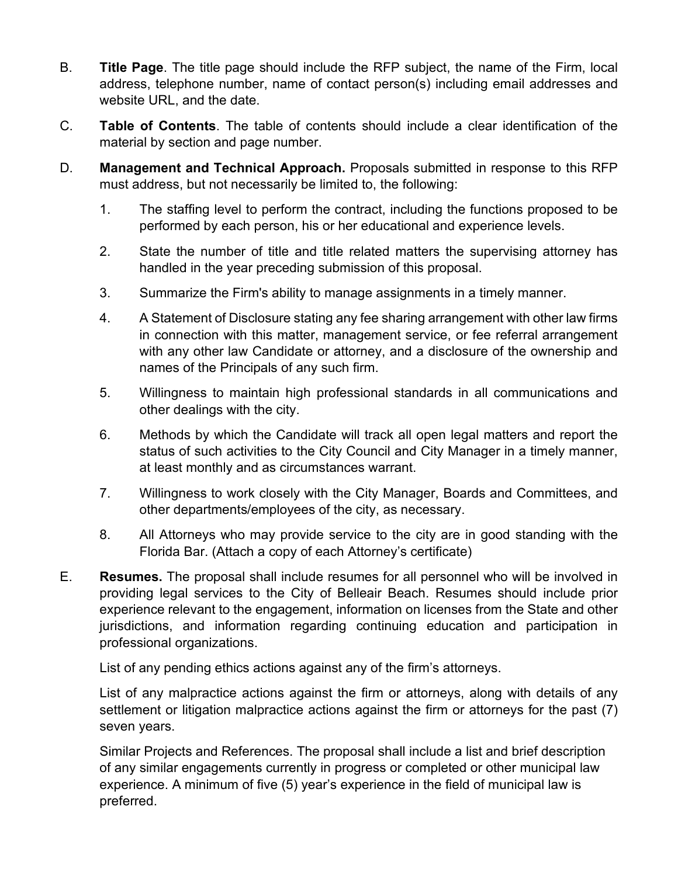- B. **Title Page**. The title page should include the RFP subject, the name of the Firm, local address, telephone number, name of contact person(s) including email addresses and website URL, and the date.
- C. **Table of Contents**. The table of contents should include a clear identification of the material by section and page number.
- D. **Management and Technical Approach.** Proposals submitted in response to this RFP must address, but not necessarily be limited to, the following:
	- 1. The staffing level to perform the contract, including the functions proposed to be performed by each person, his or her educational and experience levels.
	- 2. State the number of title and title related matters the supervising attorney has handled in the year preceding submission of this proposal.
	- 3. Summarize the Firm's ability to manage assignments in a timely manner.
	- 4. A Statement of Disclosure stating any fee sharing arrangement with other law firms in connection with this matter, management service, or fee referral arrangement with any other law Candidate or attorney, and a disclosure of the ownership and names of the Principals of any such firm.
	- 5. Willingness to maintain high professional standards in all communications and other dealings with the city.
	- 6. Methods by which the Candidate will track all open legal matters and report the status of such activities to the City Council and City Manager in a timely manner, at least monthly and as circumstances warrant.
	- 7. Willingness to work closely with the City Manager, Boards and Committees, and other departments/employees of the city, as necessary.
	- 8. All Attorneys who may provide service to the city are in good standing with the Florida Bar. (Attach a copy of each Attorney's certificate)
- E. **Resumes.** The proposal shall include resumes for all personnel who will be involved in providing legal services to the City of Belleair Beach. Resumes should include prior experience relevant to the engagement, information on licenses from the State and other jurisdictions, and information regarding continuing education and participation in professional organizations.

List of any pending ethics actions against any of the firm's attorneys.

List of any malpractice actions against the firm or attorneys, along with details of any settlement or litigation malpractice actions against the firm or attorneys for the past (7) seven years.

Similar Projects and References. The proposal shall include a list and brief description of any similar engagements currently in progress or completed or other municipal law experience. A minimum of five (5) year's experience in the field of municipal law is preferred.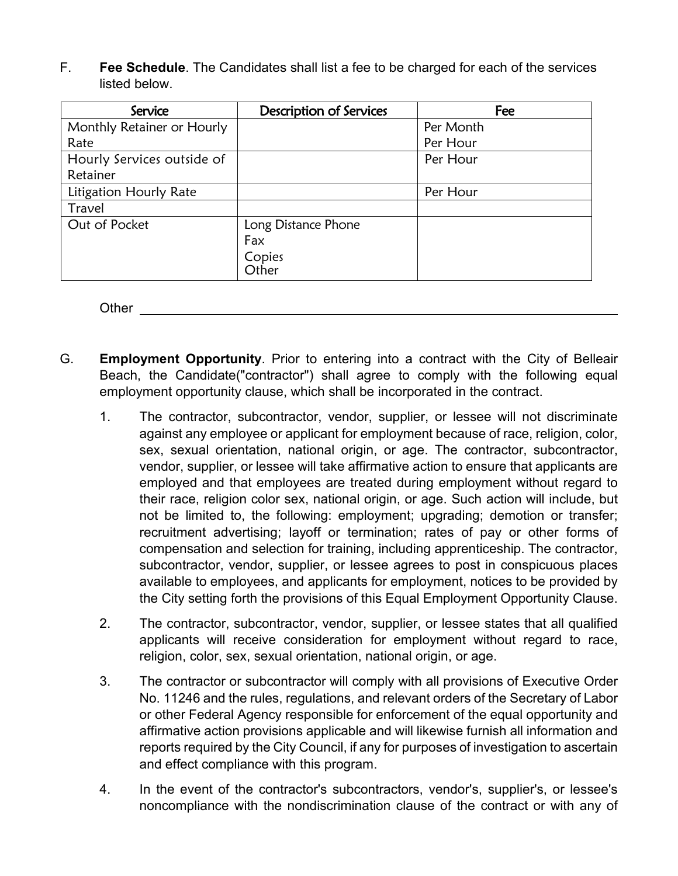F. **Fee Schedule**. The Candidates shall list a fee to be charged for each of the services listed below.

| Service                    | <b>Description of Services</b> | Fee       |
|----------------------------|--------------------------------|-----------|
| Monthly Retainer or Hourly |                                | Per Month |
| Rate                       |                                | Per Hour  |
| Hourly Services outside of |                                | Per Hour  |
| Retainer                   |                                |           |
| Litigation Hourly Rate     |                                | Per Hour  |
| Travel                     |                                |           |
| Out of Pocket              | Long Distance Phone            |           |
|                            | Fax                            |           |
|                            | Copies                         |           |
|                            | Other                          |           |

Other

- G. **Employment Opportunity**. Prior to entering into a contract with the City of Belleair Beach, the Candidate("contractor") shall agree to comply with the following equal employment opportunity clause, which shall be incorporated in the contract.
	- 1. The contractor, subcontractor, vendor, supplier, or lessee will not discriminate against any employee or applicant for employment because of race, religion, color, sex, sexual orientation, national origin, or age. The contractor, subcontractor, vendor, supplier, or lessee will take affirmative action to ensure that applicants are employed and that employees are treated during employment without regard to their race, religion color sex, national origin, or age. Such action will include, but not be limited to, the following: employment; upgrading; demotion or transfer; recruitment advertising; layoff or termination; rates of pay or other forms of compensation and selection for training, including apprenticeship. The contractor, subcontractor, vendor, supplier, or lessee agrees to post in conspicuous places available to employees, and applicants for employment, notices to be provided by the City setting forth the provisions of this Equal Employment Opportunity Clause.
	- 2. The contractor, subcontractor, vendor, supplier, or lessee states that all qualified applicants will receive consideration for employment without regard to race, religion, color, sex, sexual orientation, national origin, or age.
	- 3. The contractor or subcontractor will comply with all provisions of Executive Order No. 11246 and the rules, regulations, and relevant orders of the Secretary of Labor or other Federal Agency responsible for enforcement of the equal opportunity and affirmative action provisions applicable and will likewise furnish all information and reports required by the City Council, if any for purposes of investigation to ascertain and effect compliance with this program.
	- 4. In the event of the contractor's subcontractors, vendor's, supplier's, or lessee's noncompliance with the nondiscrimination clause of the contract or with any of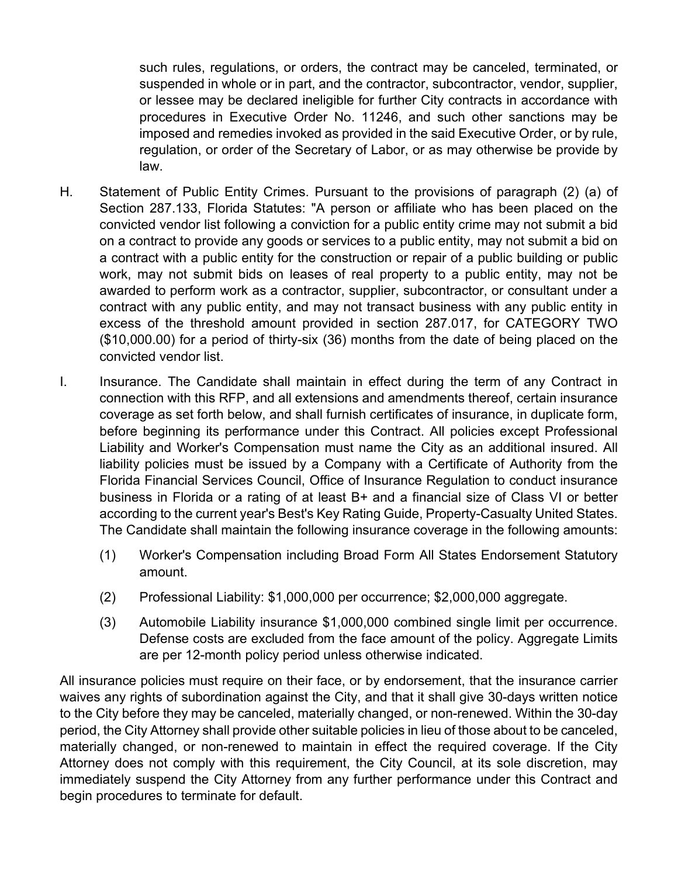such rules, regulations, or orders, the contract may be canceled, terminated, or suspended in whole or in part, and the contractor, subcontractor, vendor, supplier, or lessee may be declared ineligible for further City contracts in accordance with procedures in Executive Order No. 11246, and such other sanctions may be imposed and remedies invoked as provided in the said Executive Order, or by rule, regulation, or order of the Secretary of Labor, or as may otherwise be provide by law.

- H. Statement of Public Entity Crimes. Pursuant to the provisions of paragraph (2) (a) of Section 287.133, Florida Statutes: "A person or affiliate who has been placed on the convicted vendor list following a conviction for a public entity crime may not submit a bid on a contract to provide any goods or services to a public entity, may not submit a bid on a contract with a public entity for the construction or repair of a public building or public work, may not submit bids on leases of real property to a public entity, may not be awarded to perform work as a contractor, supplier, subcontractor, or consultant under a contract with any public entity, and may not transact business with any public entity in excess of the threshold amount provided in section 287.017, for CATEGORY TWO (\$10,000.00) for a period of thirty-six (36) months from the date of being placed on the convicted vendor list.
- I. Insurance. The Candidate shall maintain in effect during the term of any Contract in connection with this RFP, and all extensions and amendments thereof, certain insurance coverage as set forth below, and shall furnish certificates of insurance, in duplicate form, before beginning its performance under this Contract. All policies except Professional Liability and Worker's Compensation must name the City as an additional insured. All liability policies must be issued by a Company with a Certificate of Authority from the Florida Financial Services Council, Office of Insurance Regulation to conduct insurance business in Florida or a rating of at least B+ and a financial size of Class VI or better according to the current year's Best's Key Rating Guide, Property-Casualty United States. The Candidate shall maintain the following insurance coverage in the following amounts:
	- (1) Worker's Compensation including Broad Form All States Endorsement Statutory amount.
	- (2) Professional Liability: \$1,000,000 per occurrence; \$2,000,000 aggregate.
	- (3) Automobile Liability insurance \$1,000,000 combined single limit per occurrence. Defense costs are excluded from the face amount of the policy. Aggregate Limits are per 12-month policy period unless otherwise indicated.

All insurance policies must require on their face, or by endorsement, that the insurance carrier waives any rights of subordination against the City, and that it shall give 30-days written notice to the City before they may be canceled, materially changed, or non-renewed. Within the 30-day period, the City Attorney shall provide other suitable policies in lieu of those about to be canceled, materially changed, or non-renewed to maintain in effect the required coverage. If the City Attorney does not comply with this requirement, the City Council, at its sole discretion, may immediately suspend the City Attorney from any further performance under this Contract and begin procedures to terminate for default.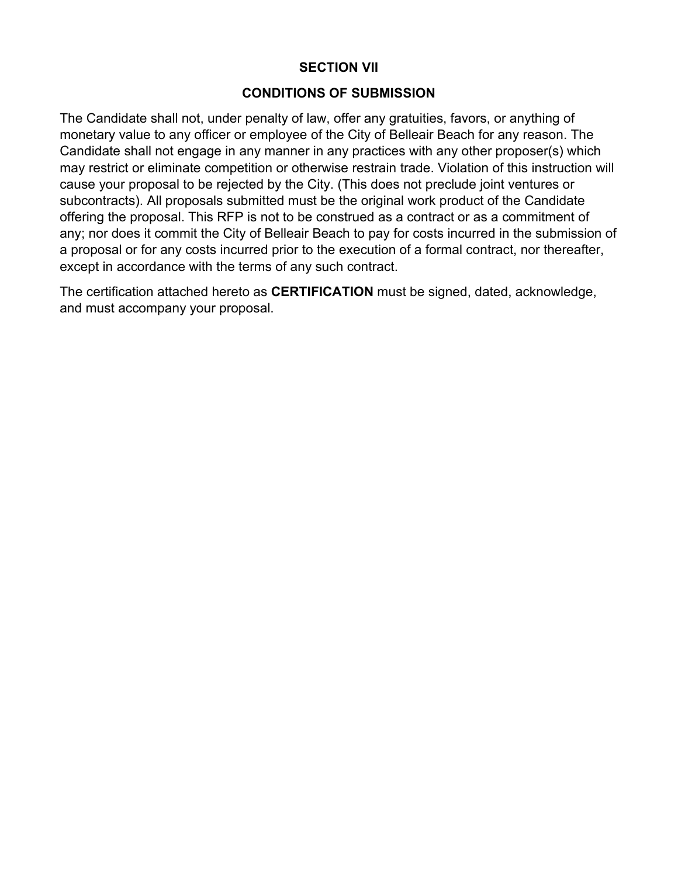#### **SECTION VII**

#### **CONDITIONS OF SUBMISSION**

The Candidate shall not, under penalty of law, offer any gratuities, favors, or anything of monetary value to any officer or employee of the City of Belleair Beach for any reason. The Candidate shall not engage in any manner in any practices with any other proposer(s) which may restrict or eliminate competition or otherwise restrain trade. Violation of this instruction will cause your proposal to be rejected by the City. (This does not preclude joint ventures or subcontracts). All proposals submitted must be the original work product of the Candidate offering the proposal. This RFP is not to be construed as a contract or as a commitment of any; nor does it commit the City of Belleair Beach to pay for costs incurred in the submission of a proposal or for any costs incurred prior to the execution of a formal contract, nor thereafter, except in accordance with the terms of any such contract.

The certification attached hereto as **CERTIFICATION** must be signed, dated, acknowledge, and must accompany your proposal.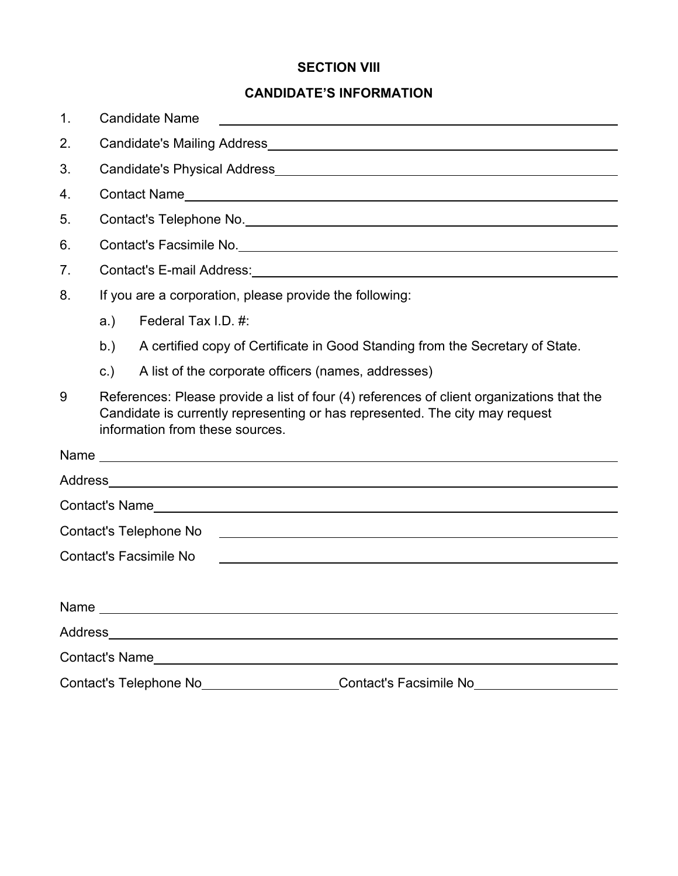## **SECTION VIII**

# **CANDIDATE'S INFORMATION**

| 1. | <b>Candidate Name</b>                                                                                                                                                                                        |                                                                                                                                                        |  |  |  |  |
|----|--------------------------------------------------------------------------------------------------------------------------------------------------------------------------------------------------------------|--------------------------------------------------------------------------------------------------------------------------------------------------------|--|--|--|--|
| 2. |                                                                                                                                                                                                              |                                                                                                                                                        |  |  |  |  |
| 3. |                                                                                                                                                                                                              |                                                                                                                                                        |  |  |  |  |
| 4. |                                                                                                                                                                                                              |                                                                                                                                                        |  |  |  |  |
| 5. | Contact's Telephone No. 2008 - 2009 - 2010 - 2010 - 2010 - 2010 - 2010 - 2010 - 2010 - 2010 - 2010 - 2010 - 20                                                                                               |                                                                                                                                                        |  |  |  |  |
| 6. |                                                                                                                                                                                                              |                                                                                                                                                        |  |  |  |  |
| 7. |                                                                                                                                                                                                              |                                                                                                                                                        |  |  |  |  |
| 8. | If you are a corporation, please provide the following:                                                                                                                                                      |                                                                                                                                                        |  |  |  |  |
|    | a.)                                                                                                                                                                                                          | Federal Tax I.D. #:                                                                                                                                    |  |  |  |  |
|    | b.)                                                                                                                                                                                                          | A certified copy of Certificate in Good Standing from the Secretary of State.                                                                          |  |  |  |  |
|    | $\mathsf{c}$ .)                                                                                                                                                                                              | A list of the corporate officers (names, addresses)                                                                                                    |  |  |  |  |
| 9  | References: Please provide a list of four (4) references of client organizations that the<br>Candidate is currently representing or has represented. The city may request<br>information from these sources. |                                                                                                                                                        |  |  |  |  |
|    |                                                                                                                                                                                                              |                                                                                                                                                        |  |  |  |  |
|    |                                                                                                                                                                                                              |                                                                                                                                                        |  |  |  |  |
|    |                                                                                                                                                                                                              |                                                                                                                                                        |  |  |  |  |
|    |                                                                                                                                                                                                              | Contact's Telephone No<br><u> Alexandria de la contrada de la contrada de la contrada de la contrada de la contrada de la contrada de la c</u>         |  |  |  |  |
|    |                                                                                                                                                                                                              | <b>Contact's Facsimile No</b><br><u> 1989 - Johann Harry Harry Harry Harry Harry Harry Harry Harry Harry Harry Harry Harry Harry Harry Harry Harry</u> |  |  |  |  |
|    |                                                                                                                                                                                                              |                                                                                                                                                        |  |  |  |  |
|    |                                                                                                                                                                                                              |                                                                                                                                                        |  |  |  |  |
|    |                                                                                                                                                                                                              |                                                                                                                                                        |  |  |  |  |
|    | Contact's Facsimile No <b>wing the Contact's Facsimile Now Contact</b>                                                                                                                                       |                                                                                                                                                        |  |  |  |  |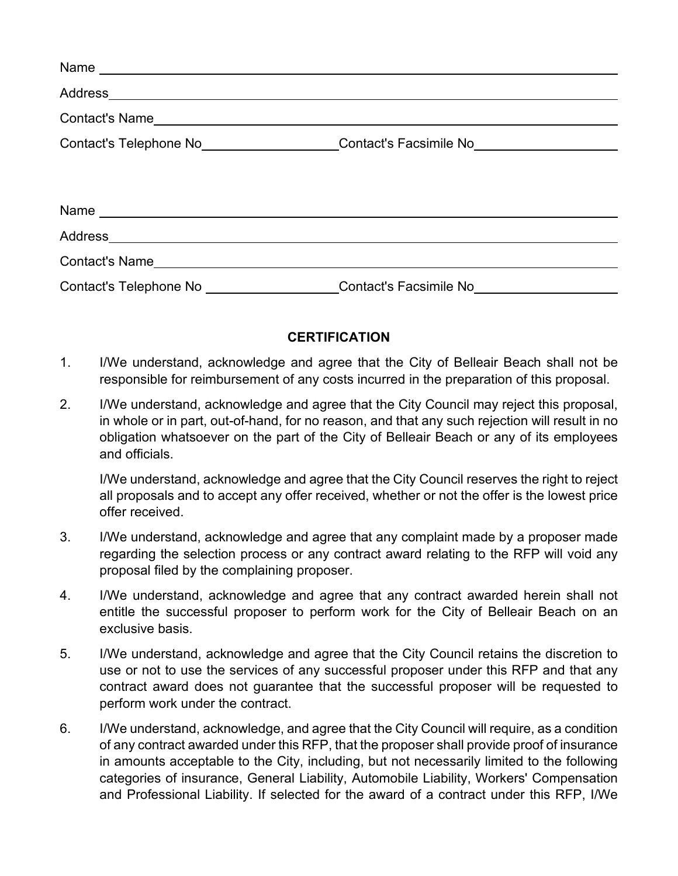| Contact's Telephone No___________________Contact's Facsimile No_________________ |  |  |
|----------------------------------------------------------------------------------|--|--|
|                                                                                  |  |  |
|                                                                                  |  |  |
|                                                                                  |  |  |
|                                                                                  |  |  |
| Contact's Name                                                                   |  |  |
| Contact's Telephone No __________________Contact's Facsimile No ________________ |  |  |

### **CERTIFICATION**

- 1. I/We understand, acknowledge and agree that the City of Belleair Beach shall not be responsible for reimbursement of any costs incurred in the preparation of this proposal.
- 2. I/We understand, acknowledge and agree that the City Council may reject this proposal, in whole or in part, out-of-hand, for no reason, and that any such rejection will result in no obligation whatsoever on the part of the City of Belleair Beach or any of its employees and officials.

I/We understand, acknowledge and agree that the City Council reserves the right to reject all proposals and to accept any offer received, whether or not the offer is the lowest price offer received.

- 3. I/We understand, acknowledge and agree that any complaint made by a proposer made regarding the selection process or any contract award relating to the RFP will void any proposal filed by the complaining proposer.
- 4. I/We understand, acknowledge and agree that any contract awarded herein shall not entitle the successful proposer to perform work for the City of Belleair Beach on an exclusive basis.
- 5. I/We understand, acknowledge and agree that the City Council retains the discretion to use or not to use the services of any successful proposer under this RFP and that any contract award does not guarantee that the successful proposer will be requested to perform work under the contract.
- 6. I/We understand, acknowledge, and agree that the City Council will require, as a condition of any contract awarded under this RFP, that the proposer shall provide proof of insurance in amounts acceptable to the City, including, but not necessarily limited to the following categories of insurance, General Liability, Automobile Liability, Workers' Compensation and Professional Liability. If selected for the award of a contract under this RFP, I/We